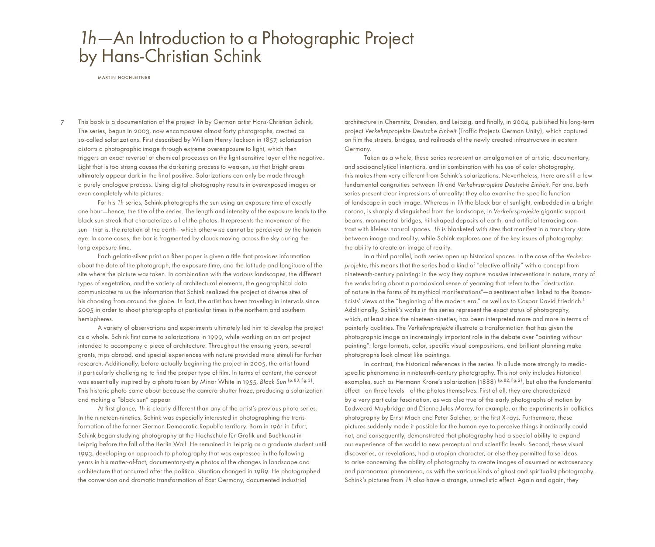## 1h—An Introduction to a Photographic Project by Hans-Christian Schink

martin hochleitner

7 This book is a documentation of the project 1h by German artist Hans-Christian Schink. The series, begun in 2003, now encompasses almost forty photographs, created as so-called solarizations. First described by William Henry Jackson in 1857, solarization distorts a photographic image through extreme overexposure to light, which then triggers an exact reversal of chemical processes on the light-sensitive layer of the negative. Light that is too strong causes the darkening process to weaken, so that bright areas ultimately appear dark in the final positive. Solarizations can only be made through a purely analogue process. Using digital photography results in overexposed images or even completely white pictures.

For his 1h series, Schink photographs the sun using an exposure time of exactly one hour—hence, the title of the series. The length and intensity of the exposure leads to the black sun streak that characterizes all of the photos. It represents the movement of the sun—that is, the rotation of the earth—which otherwise cannot be perceived by the human eye. In some cases, the bar is fragmented by clouds moving across the sky during the long exposure time.

Each gelatin-silver print on fiber paper is given a title that provides information about the date of the photograph, the exposure time, and the latitude and longitude of the site where the picture was taken. In combination with the various landscapes, the different types of vegetation, and the variety of architectural elements, the geographical data communicates to us the information that Schink realized the project at diverse sites of his choosing from around the globe. In fact, the artist has been traveling in intervals since 2005 in order to shoot photographs at particular times in the northern and southern hemispheres.

A variety of observations and experiments ultimately led him to develop the project as a whole. Schink first came to solarizations in 1999, while working on an art project intended to accompany a piece of architecture. Throughout the ensuing years, several grants, trips abroad, and special experiences with nature provided more stimuli for further research. Additionally, before actually beginning the project in 2005, the artist found it particularly challenging to find the proper type of film. In terms of content, the concept was essentially inspired by a photo taken by Minor White in 1955, Black Sun (p.83, fig. 3). This historic photo came about because the camera shutter froze, producing a solarization and making a "black sun" appear.

At first glance, 1h is clearly different than any of the artist's previous photo series. In the nineteen-nineties, Schink was especially interested in photographing the transformation of the former German Democratic Republic territory. Born in 1961 in Erfurt, Schink began studying photography at the Hochschule für Grafik und Buchkunst in Leipzig before the fall of the Berlin Wall. He remained in Leipzig as a graduate student until 1993, developing an approach to photography that was expressed in the following years in his matter-of-fact, documentary-style photos of the changes in landscape and architecture that occurred after the political situation changed in 1989. He photographed the conversion and dramatic transformation of East Germany, documented industrial

architecture in Chemnitz, Dresden, and Leipzig, and finally, in 2004, published his long-term project Verkehrsprojekte Deutsche Einheit (Traffic Projects German Unity), which captured on film the streets, bridges, and railroads of the newly created infrastructure in eastern Germany.

Taken as a whole, these series represent an amalgamation of artistic, documentary, and socioanalytical intentions, and in combination with his use of color photography, this makes them very different from Schink's solarizations. Nevertheless, there are still a few fundamental congruities between 1h and Verkehrsprojekte Deutsche Einheit. For one, both series present clear impressions of unreality; they also examine the specific function of landscape in each image. Whereas in 1h the black bar of sunlight, embedded in a bright corona, is sharply distinguished from the landscape, in Verkehrsprojekte gigantic support beams, monumental bridges, hill-shaped deposits of earth, and artificial terracing contrast with lifeless natural spaces. 1h is blanketed with sites that manifest in a transitory state between image and reality, while Schink explores one of the key issues of photography: the ability to create an image of reality.

In a third parallel, both series open up historical spaces. In the case of the Verkehrsprojekte, this means that the series had a kind of "elective affinity" with a concept from nineteenth-century painting: in the way they capture massive interventions in nature, many of the works bring about a paradoxical sense of yearning that refers to the "destruction of nature in the forms of its mythical manifestations"—a sentiment often linked to the Romanticists' views at the "beginning of the modern era," as well as to Caspar David Friedrich.1 Additionally, Schink's works in this series represent the exact status of photography, which, at least since the nineteen-nineties, has been interpreted more and more in terms of painterly qualities. The Verkehrsprojekte illustrate a transformation that has given the photographic image an increasingly important role in the debate over "painting without painting": large formats, color, specific visual compositions, and brilliant planning make photographs look almost like paintings.

In contrast, the historical references in the series 1h allude more strongly to mediaspecific phenomena in nineteenth-century photography. This not only includes historical examples, such as Hermann Krone's solarization (1888) (p. 82, fig. 2), but also the fundamental effect—on three levels—of the photos themselves. First of all, they are characterized by a very particular fascination, as was also true of the early photographs of motion by Eadweard Muybridge and Étienne-Jules Marey, for example, or the experiments in ballistics photography by Ernst Mach and Peter Salcher, or the first X-rays. Furthermore, these pictures suddenly made it possible for the human eye to perceive things it ordinarily could not, and consequently, demonstrated that photography had a special ability to expand our experience of the world to new perceptual and scientific levels. Second, these visual discoveries, or revelations, had a utopian character, or else they permitted false ideas to arise concerning the ability of photography to create images of assumed or extrasensory and paranormal phenomena, as with the various kinds of ghost and spiritualist photography. Schink's pictures from 1h also have a strange, unrealistic effect. Again and again, they